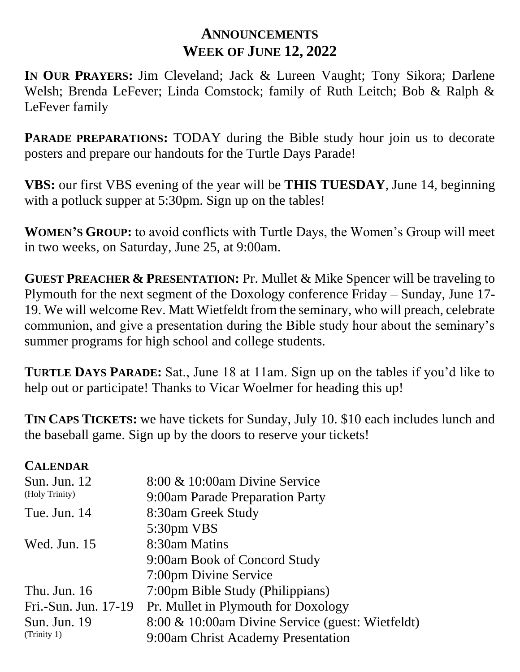## **ANNOUNCEMENTS WEEK OF JUNE 12, 2022**

**IN OUR PRAYERS:** Jim Cleveland; Jack & Lureen Vaught; Tony Sikora; Darlene Welsh; Brenda LeFever; Linda Comstock; family of Ruth Leitch; Bob & Ralph & LeFever family

**PARADE PREPARATIONS:** TODAY during the Bible study hour join us to decorate posters and prepare our handouts for the Turtle Days Parade!

**VBS:** our first VBS evening of the year will be **THIS TUESDAY**, June 14, beginning with a potluck supper at 5:30pm. Sign up on the tables!

**WOMEN'S GROUP:** to avoid conflicts with Turtle Days, the Women's Group will meet in two weeks, on Saturday, June 25, at 9:00am.

**GUEST PREACHER & PRESENTATION:** Pr. Mullet & Mike Spencer will be traveling to Plymouth for the next segment of the Doxology conference Friday – Sunday, June 17- 19. We will welcome Rev. Matt Wietfeldt from the seminary, who will preach, celebrate communion, and give a presentation during the Bible study hour about the seminary's summer programs for high school and college students.

**TURTLE DAYS PARADE:** Sat., June 18 at 11am. Sign up on the tables if you'd like to help out or participate! Thanks to Vicar Woelmer for heading this up!

**TIN CAPS TICKETS:** we have tickets for Sunday, July 10. \$10 each includes lunch and the baseball game. Sign up by the doors to reserve your tickets!

## **CALENDAR**

| <b>Sun. Jun. 12</b><br>(Holy Trinity) | 8:00 & 10:00am Divine Service                    |
|---------------------------------------|--------------------------------------------------|
|                                       | 9:00am Parade Preparation Party                  |
| Tue. Jun. 14                          | 8:30am Greek Study                               |
|                                       | 5:30pm VBS                                       |
| Wed. Jun. 15                          | 8:30am Matins                                    |
|                                       | 9:00am Book of Concord Study                     |
|                                       | 7:00pm Divine Service                            |
| Thu. Jun. $16$                        | 7:00pm Bible Study (Philippians)                 |
| Fri.-Sun. Jun. 17-19                  | Pr. Mullet in Plymouth for Doxology              |
| Sun. Jun. 19<br>(Trinity 1)           | 8:00 & 10:00am Divine Service (guest: Wietfeldt) |
|                                       | 9:00am Christ Academy Presentation               |